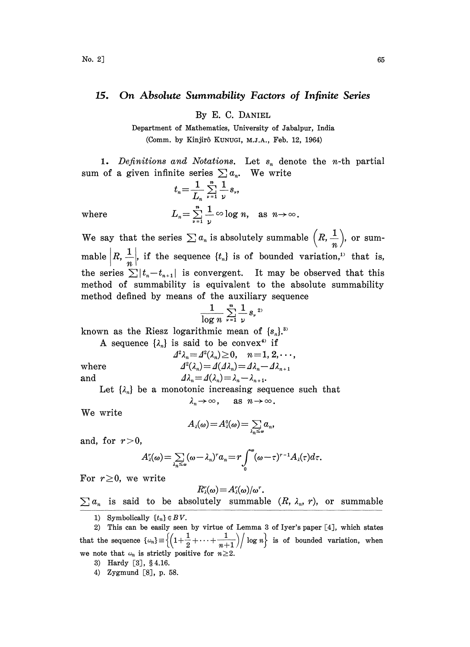## 15. On Absolute Summability Factors of Infinite Series

By E. C. DANIEL

Department of Mathematics, University of Jabalpur, India (Comm. by Kinjir6 KUNUGI, M.J.A., Feb. 12, 1964)

1. Definitions and Notations. Let  $s_n$  denote the n-th partial sum of a given infinite series  $\sum a_n$ . We write

$$
t_n = \frac{1}{L_n} \sum_{\nu=1}^n \frac{1}{\nu} s_{\nu},
$$
  
where  

$$
L_n = \sum_{\nu=1}^n \frac{1}{\nu} \infty \log n, \text{ as } n \to \infty.
$$

We say that the series  $\sum a_n$  is absolutely summable  $\left(R, \frac{1}{a}\right)$ , or summable  $|R, \frac{1}{n}|$ , if the sequence  $\{t_n\}$  is of bounded variation,<sup>11</sup> that is, the series  $\sum |t_n-t_{n+1}|$  is convergent. It may be observed that this method of summability is equivalent to the absolute summability method defined by means of the auxiliary sequenee

$$
\frac{1}{\log n} \sum_{\nu=1}^n \frac{1}{\nu} s_{\nu}^{2\nu}
$$

known as the Riesz logarithmic mean of  $\{s_n\}$ .

A sequence  $\{\lambda_n\}$  is said to be convex<sup>4</sup> if<br>  $A^2 \lambda_n = A^2(\lambda_n) \ge 0$ ,  $n = 1, 2, \dots$ ,

where

$$
A^2 \lambda_n = A^2(\lambda_n) \ge 0, \quad n = 1, 2, \dots
$$
  

$$
A^2(\lambda_n) = A(\lambda_n) = A\lambda_n - A\lambda_{n+1}
$$

and  $\Delta \lambda_n = \Delta(\lambda_n) = \lambda_n - \lambda_{n+1}$ .

 $A\lambda_n - A\lambda_n$ <br>- $\lambda_{n+1}$ .<br>g sequen<br> $n \to \infty$ . Let  $\{\lambda_n\}$  be a monotonic increasing sequence such that  $\lambda_n \to \infty$ , as  $n \to \infty$ .

We write

$$
A_{\lambda}(\omega) = A_{\lambda}^0(\omega) = \sum_{\lambda_n \leq \omega} a_n,
$$

and, for  $r > 0$ ,

$$
A_{\lambda}^r(\omega) = \sum_{\lambda_n \leq \omega} (\omega - \lambda_n)^r a_n = r \int_0^{\omega} (\omega - \tau)^{r-1} A_{\lambda}(\tau) d\tau.
$$

For  $r\geq 0$ , we write

 $R_{\lambda}^{r}(\omega) = A_{\lambda}^{r}(\omega)/\omega^{r}$ .<br>  $\sum a_{n}$  is said to be absolutely summable  $(R, \lambda_{n}, r)$ , or summable

1) Symbolically  $\{t_n\} \in BV$ .

2) This can be easily seen by virtue of Lemma <sup>3</sup> of Iyer's paper[4], which states that the sequence  $\{\omega_n\} \equiv \left\{\left(1+\frac{1}{2}+\cdots+\frac{1}{n+1}\right) \middle/ \log n\right\}$  is of bounded variation, when we note that  $\omega_n$  is strictly positive for  $n\geq 2$ .

3) Hardy [3], §4.16.

4) Zygmund [8], p. 58.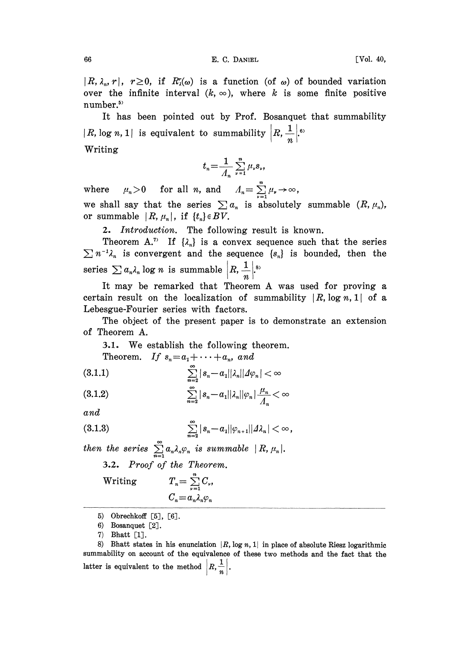$|R, \lambda_n, r|, r \ge 0$ , if  $R_{\lambda}^r(\omega)$  is a function (of  $\omega$ ) of bounded variation over the infinite interval  $(k, \infty)$ , where k is some finite positive number.

It has been pointed out by Prof. Bosanquet that summability log *n*, 1| is equivalent to summability  $\left| R, \frac{1}{n} \right|$ Writing

$$
t_n = \frac{1}{\Lambda_n} \sum_{\nu=1}^n \mu_\nu s_\nu,
$$

where  $\mu_n > 0$  for all *n*, and  $\Lambda_n = \sum_{\nu=1}^n \mu_\nu \to \infty$ , we shall say that the series  $\sum a_n$  is absolutely summable  $(R, \mu_n)$ , or summable  $|R, \mu_n|$ , if  $\{t_n\} \in BV$ .

2. Introduction. The following result is known.

Theorem A.<sup>7</sup> If  $\{\lambda_n\}$  is a convex sequence such that the series  $\sum n^{-1}\lambda_n$  is convergent and the sequence  $\{s_n\}$  is bounded, then the series  $\sum a_n \lambda_n \log n$  is summable  $\left| R, \frac{1}{n} \right|$ .

It may be remarked that Theorem A was used for proving certain result on the localization of summability  $|R$ ,  $log n, 1|$  of a Lebesgue-Fourier series with factors.

The object of the present paper is to demonstrate an extension of Theorem A.

.1. We establish the following theorem.

Theorem. If  $s_n = a_1 + \cdots + a_n$ , and

$$
(3.1.1) \qquad \qquad \sum_{n=2}^{\infty} |s_n - a_1| |\lambda_n| |A\varphi_n| < \infty
$$

$$
\sum_{n=2}^{\infty} |s_n - a_1| |\lambda_n| |\varphi_n| \frac{\mu_n}{\Lambda_n} < \infty
$$

and

(3.1.3) 
$$
\sum_{n=2}^{\infty} |s_n - a_1| |\varphi_{n+1}| | \Delta \lambda_n | < \infty,
$$

then the series  $\sum_{n=1}^{\infty} a_n \lambda_n \varphi_n$  is summable  $|R, \mu_n|$ . 3.2. Proof of the Theorem. Writing  $T_n = \sum_{n=1}^{n} C_n$ ,  $C_n = a_n \lambda_n \varphi_n$ 

- 5) Obrechkoff  $[5]$ ,  $[6]$ .
- 6) Bosanquet  $[2]$ .

8) Bhatt states in his enunciation  $|R$ , log n, 1 in place of absolute Riesz logarithmic summability on account of the equivalence of these two methods and the fact that the latter is equivalent to the method  $\left| R, \frac{1}{n} \right|$ .

<sup>7)</sup> Bhatt [1.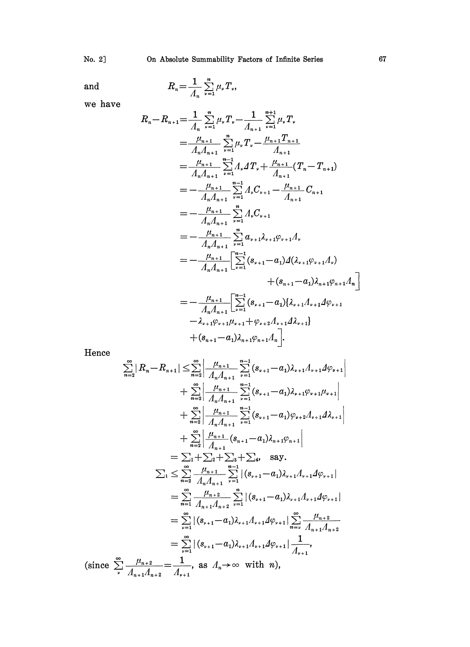No. 2]

 $\quad \text{and} \quad$ 

$$
R_n = \frac{1}{\Lambda_n} \sum_{\nu=1}^n \mu_\nu T_\nu,
$$

we have

$$
R_{n}-R_{n+1} = \frac{1}{\Lambda_{n}} \sum_{\nu=1}^{n} \mu_{\nu} T_{\nu} - \frac{1}{\Lambda_{n+1}} \sum_{\nu=1}^{n+1} \mu_{\nu} T_{\nu}
$$
  
\n
$$
= \frac{\mu_{n+1}}{\Lambda_{n}\Lambda_{n+1}} \sum_{\nu=1}^{n} \mu_{\nu} T_{\nu} - \frac{\mu_{n+1} T_{n+1}}{\Lambda_{n+1}}
$$
  
\n
$$
= \frac{\mu_{n+1}}{\Lambda_{n}\Lambda_{n+1}} \sum_{\nu=1}^{n-1} \Lambda_{\nu} T_{\nu} + \frac{\mu_{n+1}}{\Lambda_{n+1}} (T_{n} - T_{n+1})
$$
  
\n
$$
= -\frac{\mu_{n+1}}{\Lambda_{n}\Lambda_{n+1}} \sum_{\nu=1}^{n-1} \Lambda_{\nu} C_{\nu+1} - \frac{\mu_{n+1}}{\Lambda_{n+1}} C_{n+1}
$$
  
\n
$$
= -\frac{\mu_{n+1}}{\Lambda_{n}\Lambda_{n+1}} \sum_{\nu=1}^{n} \Lambda_{\nu} C_{\nu+1}
$$
  
\n
$$
= -\frac{\mu_{n+1}}{\Lambda_{n}\Lambda_{n+1}} \sum_{\nu=1}^{n} \alpha_{\nu+1}\lambda_{\nu+1}\varphi_{\nu+1}\Lambda_{\nu}
$$
  
\n
$$
= -\frac{\mu_{n+1}}{\Lambda_{n}\Lambda_{n+1}} \left[ \sum_{\nu=1}^{n-1} (\delta_{\nu+1} - \alpha_{1}) \Delta(\lambda_{\nu+1}\varphi_{\nu+1}\Lambda_{\nu}) + (\delta_{n+1} - \alpha_{1}) \lambda_{n+1}\varphi_{n+1}\Lambda_{n} \right]
$$
  
\n
$$
= -\frac{\mu_{n+1}}{\Lambda_{n}\Lambda_{n+1}} \left[ \sum_{\nu=1}^{n-1} (\delta_{\nu+1} - \alpha_{1}) (\lambda_{\nu+1}\Lambda_{\nu+1}\Lambda_{\nu}) + (\delta_{n+1} - \alpha_{1}) \lambda_{n+1}\varphi_{n+1}\Lambda_{n} \right]
$$
  
\n
$$
- \lambda_{\nu+1}\varphi_{\nu+1}\mu_{\nu+1} + \varphi_{\nu+2}\Lambda_{\nu+1}\Delta_{\nu+1}
$$
  
\n

Hence

$$
\sum_{n=2}^{\infty} |R_n - R_{n+1}| \leq \sum_{n=2}^{\infty} \left| \frac{\mu_{n+1}}{A_n A_{n+1}} \sum_{\nu=1}^{n-1} (s_{\nu+1} - a_1) \lambda_{\nu+1} A_{\nu+1} A \varphi_{\nu+1} \right|
$$
  
+ 
$$
\sum_{n=2}^{\infty} \left| \frac{\mu_{n+1}}{A_n A_{n+1}} \sum_{\nu=1}^{n-1} (s_{\nu+1} - a_1) \lambda_{\nu+1} \varphi_{\nu+1} \mu_{\nu+1} \right|
$$
  
+ 
$$
\sum_{n=2}^{\infty} \left| \frac{\mu_{n+1}}{A_n A_{n+1}} \sum_{\nu=1}^{n-1} (s_{\nu+1} - a_1) \varphi_{\nu+2} A_{\nu+1} A \lambda_{\nu+1} \right|
$$
  
+ 
$$
\sum_{n=2}^{\infty} \left| \frac{\mu_{n+1}}{A_{n+1}} (s_{n+1} - a_1) \lambda_{n+1} \varphi_{n+1} \right|
$$
  
= 
$$
\sum_{1}^{\infty} \left| \sum_{n=2}^{\infty} \frac{\mu_{n+1}}{A_n A_{n+1}} \sum_{\nu=1}^{n-1} |(s_{\nu+1} - a_1) \lambda_{\nu+1} A_{\nu+1} A \varphi_{\nu+1}|
$$
  
= 
$$
\sum_{n=1}^{\infty} \frac{\mu_{n+2}}{A_n A_{n+1}} \sum_{\nu=1}^{n-1} |(s_{\nu+1} - a_1) \lambda_{\nu+1} A_{\nu+1} A \varphi_{\nu+1}|
$$
  
= 
$$
\sum_{\nu=1}^{\infty} |(s_{\nu+1} - a_1) \lambda_{\nu+1} A_{\nu+1} A \varphi_{\nu+1}| \sum_{n=\nu}^{\infty} \frac{\mu_{n+2}}{A_{n+1} A_{n+2}}
$$
  
= 
$$
\sum_{\nu=1}^{\infty} |(s_{\nu+1} - a_1) \lambda_{\nu+1} A_{\nu+1} A \varphi_{\nu+1}| \frac{1}{A_{\nu+1}},
$$
  
(since 
$$
\sum_{\nu=
$$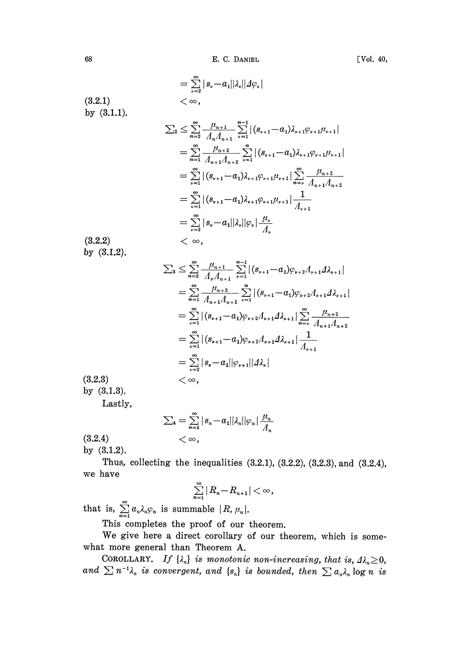68 E. C. DANIEL [Vol. 40,

 $= \sum_{n=0}^{\infty} |s_{\nu}-a_1||\lambda_{\nu}||\Delta\varphi_{\nu}|$  $<\infty$ .  $(3.2.1)$ by  $(3.1.1)$ .  $\sum_{2} \leq \sum_{n=2}^{\infty} \frac{\mu_{n+1}}{\Lambda_n \Lambda_{n+1}} \sum_{\nu=1}^{n-1} |(s_{\nu+1}-a_1)\lambda_{\nu+1}\varphi_{\nu+1}\mu_{\nu+1}|$  $= \sum_{n=1}^{\infty} \frac{\mu_{n+2}}{\Lambda_{n+1}\Lambda_{n+2}} \sum_{\nu=1}^{n} |(s_{\nu+1}-a_1)\lambda_{\nu+1}\varphi_{\nu+1}\mu_{\nu+1}|$  $= \sum_{\nu=1}^{\infty} |(s_{\nu+1}-a_1)\lambda_{\nu+1}\varphi_{\nu+1}\mu_{\nu+1}| \sum_{n=\nu}^{\infty} \frac{\mu_{n+2}}{\Lambda}$  $= \sum_{\nu=1}^{\infty} |(s_{\nu+1}-a_1)\lambda_{\nu+1}\varphi_{\nu+1}\mu_{\nu+1}| \frac{1}{\sqrt{1-\frac{1}{\nu^2}}}$  $= \sum_{n=2}^{\infty} |s_{\nu}-a_1| |\lambda_{\nu}| |\varphi_{\nu}| \frac{\mu_{\nu}}{4}$ (3.2.2)  $<\infty$ . by (3.1.2).  $\sum_{3} \leq \sum_{n=2}^{\infty} \frac{\mu_{n+1}}{\Lambda} \sum_{\nu=1}^{n-1} |(s_{\nu+1}-a_{1}) \varphi_{\nu+2} A_{\nu+1} A_{\nu+1}|$  $= \sum_{n=1}^{\infty} \frac{\mu_{n+2}}{\mu_{n+1} \mu_{n+2}} \sum_{\nu=1}^{n} |(s_{\nu+1}-a_1)\varphi_{\nu+2}\Lambda_{\nu+1}\Delta_{\nu+1}|$  $= \sum_{\nu=1}^{\infty} |(s_{\nu+1}-a_1)\varphi_{\nu+2}A_{\nu+1}A_{\nu+1}| \sum_{n=\nu}^{\infty} \frac{\mu_{n+2}}{\mu_{n+1}}$  $= \sum_{\nu=1}^{\infty} |(s_{\nu+1}-a_1)\varphi_{\nu+2}A_{\nu+1}A_{\nu+1}| \frac{1}{4}$  $= \sum\limits_{\nu=2}^{\infty} |s_{\nu}-a_1| |\varphi_{\nu+1}| |d\lambda_{\nu}|$ (3.2.3)  $<\infty$ . by (3.1.3). Lastly,  $\infty$ 

$$
\sum_{4} = \sum_{n=3}^{\infty} |s_n - a_1||\lambda_n||\varphi_n| \frac{\mu_n}{\Lambda_n} < \infty,
$$

 $(3.2.4)$ by (8.1.2).

Thus, collecting the inequalities  $(3.2.1), (3.2.2), (3.2.3),$  and  $(3.2.4),$ we have

$$
\sum_{n=1}^{\infty} |R_n - R_{n+1}| < \infty
$$

that is,

This completes the proof of our theorem.

We give here <sup>a</sup> direct corollary of our theorem, which is somewhat more general than Theorem A.

COROLLARY. If  $\{\lambda_n\}$  is monotonic non-increasing, that is,  $\Lambda_n \geq 0$ , and  $\sum n^{-1}\lambda_n$  is convergent, and  $\{s_n\}$  is bounded, then  $\sum a_n\lambda_n \log n$  is